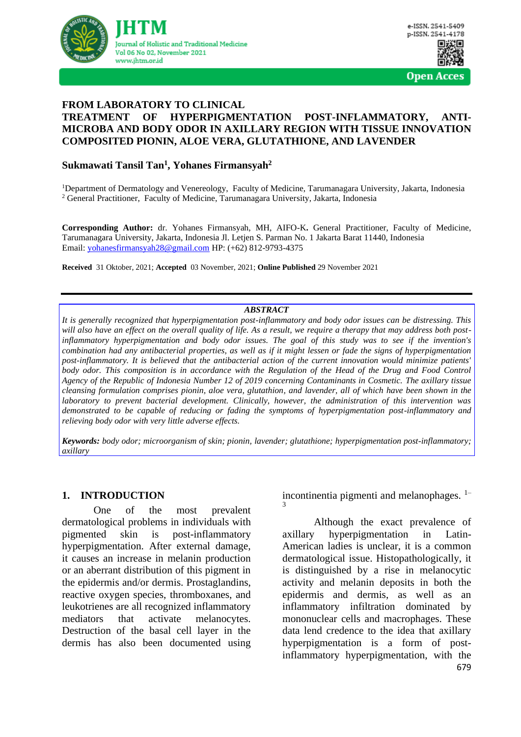

#### **FROM LABORATORY TO CLINICAL TREATMENT OF HYPERPIGMENTATION POST-INFLAMMATORY, ANTI-MICROBA AND BODY ODOR IN AXILLARY REGION WITH TISSUE INNOVATION COMPOSITED PIONIN, ALOE VERA, GLUTATHIONE, AND LAVENDER**

### **Sukmawati Tansil Tan<sup>1</sup> , Yohanes Firmansyah<sup>2</sup>**

<sup>1</sup>Department of Dermatology and Venereology, Faculty of Medicine, Tarumanagara University, Jakarta, Indonesia <sup>2</sup> General Practitioner, Faculty of Medicine, Tarumanagara University, Jakarta, Indonesia

**Corresponding Author:** dr. Yohanes Firmansyah, MH, AIFO-K**.** General Practitioner, Faculty of Medicine, Tarumanagara University, Jakarta, Indonesia Jl. Letjen S. Parman No. 1 Jakarta Barat 11440, Indonesia Email: [yohanesfirmansyah28@gmail.com](mailto:yohanesfirmansyah28@gmail.com) HP: (+62) 812-9793-4375

**Received** 31 Oktober, 2021; **Accepted** 03 November, 2021; **Online Published** 29 November 2021

#### *ABSTRACT*

*It is generally recognized that hyperpigmentation post-inflammatory and body odor issues can be distressing. This*  will also have an effect on the overall quality of life. As a result, we require a therapy that may address both post*inflammatory hyperpigmentation and body odor issues. The goal of this study was to see if the invention's combination had any antibacterial properties, as well as if it might lessen or fade the signs of hyperpigmentation post-inflammatory. It is believed that the antibacterial action of the current innovation would minimize patients' body odor. This composition is in accordance with the Regulation of the Head of the Drug and Food Control Agency of the Republic of Indonesia Number 12 of 2019 concerning Contaminants in Cosmetic. The axillary tissue cleansing formulation comprises pionin, aloe vera, glutathion, and lavender, all of which have been shown in the laboratory to prevent bacterial development. Clinically, however, the administration of this intervention was demonstrated to be capable of reducing or fading the symptoms of hyperpigmentation post-inflammatory and relieving body odor with very little adverse effects.*

*Keywords: body odor; microorganism of skin; pionin, lavender; glutathione; hyperpigmentation post-inflammatory; axillary*

#### **1. INTRODUCTION**

One of the most prevalent dermatological problems in individuals with pigmented skin is post-inflammatory hyperpigmentation. After external damage, it causes an increase in melanin production or an aberrant distribution of this pigment in the epidermis and/or dermis. Prostaglandins, reactive oxygen species, thromboxanes, and leukotrienes are all recognized inflammatory mediators that activate melanocytes. Destruction of the basal cell layer in the dermis has also been documented using incontinentia pigmenti and melanophages.  $1$ -3

Although the exact prevalence of axillary hyperpigmentation in Latin-American ladies is unclear, it is a common dermatological issue. Histopathologically, it is distinguished by a rise in melanocytic activity and melanin deposits in both the epidermis and dermis, as well as an inflammatory infiltration dominated by mononuclear cells and macrophages. These data lend credence to the idea that axillary hyperpigmentation is a form of postinflammatory hyperpigmentation, with the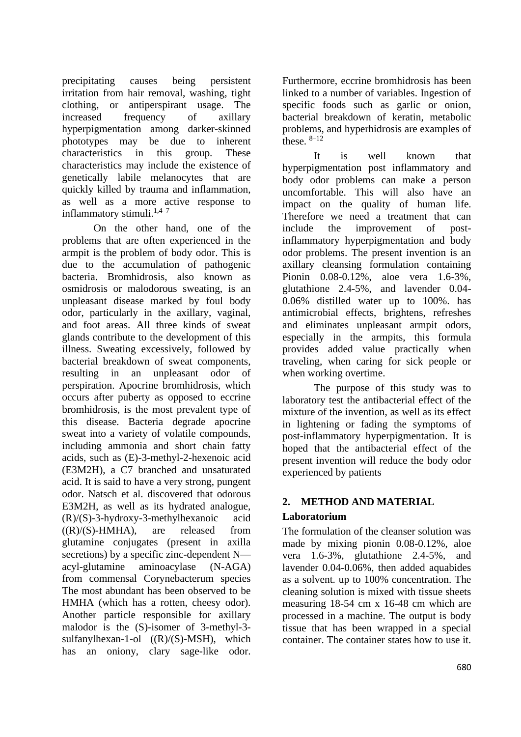precipitating causes being persistent irritation from hair removal, washing, tight clothing, or antiperspirant usage. The increased frequency of axillary hyperpigmentation among darker-skinned phototypes may be due to inherent characteristics in this group. These characteristics may include the existence of genetically labile melanocytes that are quickly killed by trauma and inflammation, as well as a more active response to inflammatory stimuli.<sup>1,4–7</sup>

On the other hand, one of the problems that are often experienced in the armpit is the problem of body odor. This is due to the accumulation of pathogenic bacteria. Bromhidrosis, also known as osmidrosis or malodorous sweating, is an unpleasant disease marked by foul body odor, particularly in the axillary, vaginal, and foot areas. All three kinds of sweat glands contribute to the development of this illness. Sweating excessively, followed by bacterial breakdown of sweat components, resulting in an unpleasant odor of perspiration. Apocrine bromhidrosis, which occurs after puberty as opposed to eccrine bromhidrosis, is the most prevalent type of this disease. Bacteria degrade apocrine sweat into a variety of volatile compounds, including ammonia and short chain fatty acids, such as (E)-3-methyl-2-hexenoic acid (E3M2H), a C7 branched and unsaturated acid. It is said to have a very strong, pungent odor. Natsch et al. discovered that odorous E3M2H, as well as its hydrated analogue, (R)/(S)-3-hydroxy-3-methylhexanoic acid  $((R)/(S)$ -HMHA), are released from glutamine conjugates (present in axilla secretions) by a specific zinc-dependent N acyl-glutamine aminoacylase (N-AGA) from commensal Corynebacterum species The most abundant has been observed to be HMHA (which has a rotten, cheesy odor). Another particle responsible for axillary malodor is the (S)-isomer of 3-methyl-3 sulfanylhexan-1-ol ((R)/(S)-MSH), which has an oniony, clary sage-like odor.

Furthermore, eccrine bromhidrosis has been linked to a number of variables. Ingestion of specific foods such as garlic or onion, bacterial breakdown of keratin, metabolic problems, and hyperhidrosis are examples of these.  $8-12$ 

It is well known that hyperpigmentation post inflammatory and body odor problems can make a person uncomfortable. This will also have an impact on the quality of human life. Therefore we need a treatment that can include the improvement of postinflammatory hyperpigmentation and body odor problems. The present invention is an axillary cleansing formulation containing Pionin 0.08-0.12%, aloe vera 1.6-3%, glutathione 2.4-5%, and lavender 0.04- 0.06% distilled water up to 100%. has antimicrobial effects, brightens, refreshes and eliminates unpleasant armpit odors, especially in the armpits, this formula provides added value practically when traveling, when caring for sick people or when working overtime.

The purpose of this study was to laboratory test the antibacterial effect of the mixture of the invention, as well as its effect in lightening or fading the symptoms of post-inflammatory hyperpigmentation. It is hoped that the antibacterial effect of the present invention will reduce the body odor experienced by patients

# **2. METHOD AND MATERIAL**

## **Laboratorium**

The formulation of the cleanser solution was made by mixing pionin 0.08-0.12%, aloe vera 1.6-3%, glutathione 2.4-5%, and lavender 0.04-0.06%, then added aquabides as a solvent. up to 100% concentration. The cleaning solution is mixed with tissue sheets measuring 18-54 cm x 16-48 cm which are processed in a machine. The output is body tissue that has been wrapped in a special container. The container states how to use it.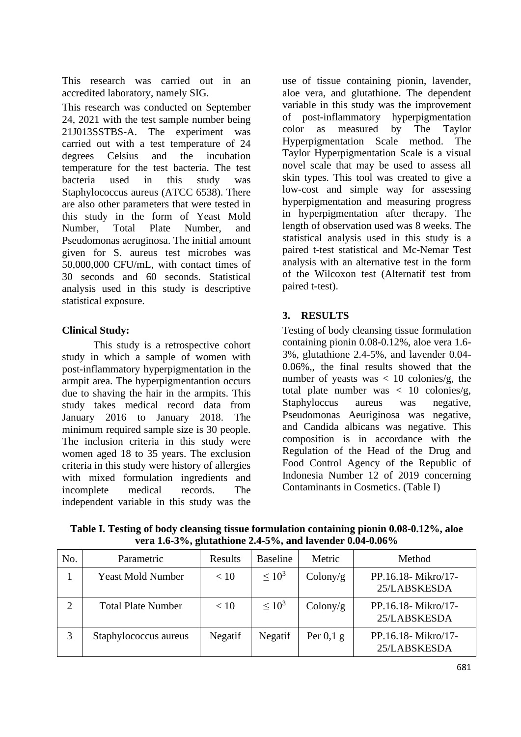This research was carried out in an accredited laboratory, namely SIG.

This research was conducted on September 24, 2021 with the test sample number being 21J013SSTBS-A. The experiment was carried out with a test temperature of 24 degrees Celsius and the incubation temperature for the test bacteria. The test bacteria used in this study was Staphylococcus aureus (ATCC 6538). There are also other parameters that were tested in this study in the form of Yeast Mold Number, Total Plate Number, and Pseudomonas aeruginosa. The initial amount given for S. aureus test microbes was 50,000,000 CFU/mL, with contact times of 30 seconds and 60 seconds. Statistical analysis used in this study is descriptive statistical exposure.

### **Clinical Study:**

This study is a retrospective cohort study in which a sample of women with post-inflammatory hyperpigmentation in the armpit area. The hyperpigmentantion occurs due to shaving the hair in the armpits. This study takes medical record data from January 2016 to January 2018. The minimum required sample size is 30 people. The inclusion criteria in this study were women aged 18 to 35 years. The exclusion criteria in this study were history of allergies with mixed formulation ingredients and incomplete medical records. The independent variable in this study was the

use of tissue containing pionin, lavender, aloe vera, and glutathione. The dependent variable in this study was the improvement of post-inflammatory hyperpigmentation color as measured by The Taylor Hyperpigmentation Scale method. The Taylor Hyperpigmentation Scale is a visual novel scale that may be used to assess all skin types. This tool was created to give a low-cost and simple way for assessing hyperpigmentation and measuring progress in hyperpigmentation after therapy. The length of observation used was 8 weeks. The statistical analysis used in this study is a paired t-test statistical and Mc-Nemar Test analysis with an alternative test in the form of the Wilcoxon test (Alternatif test from paired t-test).

# **3. RESULTS**

Testing of body cleansing tissue formulation containing pionin 0.08-0.12%, aloe vera 1.6- 3%, glutathione 2.4-5%, and lavender 0.04- 0.06%,, the final results showed that the number of yeasts was  $< 10$  colonies/g, the total plate number was  $\langle 10 \rangle$  colonies/g, Staphyloccus aureus was negative, Pseudomonas Aeuriginosa was negative, and Candida albicans was negative. This composition is in accordance with the Regulation of the Head of the Drug and Food Control Agency of the Republic of Indonesia Number 12 of 2019 concerning Contaminants in Cosmetics. (Table I)

| No. | Parametric                | Results | <b>Baseline</b> | Metric      | Method                             |
|-----|---------------------------|---------|-----------------|-------------|------------------------------------|
|     | <b>Yeast Mold Number</b>  | < 10    | $\leq 10^3$     | Colony/g    | PP.16.18-Mikro/17-<br>25/LABSKESDA |
| 2   | <b>Total Plate Number</b> | < 10    | $\leq 10^3$     | Colony/g    | PP.16.18-Mikro/17-<br>25/LABSKESDA |
| 3   | Staphylococcus aureus     | Negatif | Negatif         | Per $0,1$ g | PP.16.18-Mikro/17-<br>25/LABSKESDA |

**Table I. Testing of body cleansing tissue formulation containing pionin 0.08-0.12%, aloe vera 1.6-3%, glutathione 2.4-5%, and lavender 0.04-0.06%**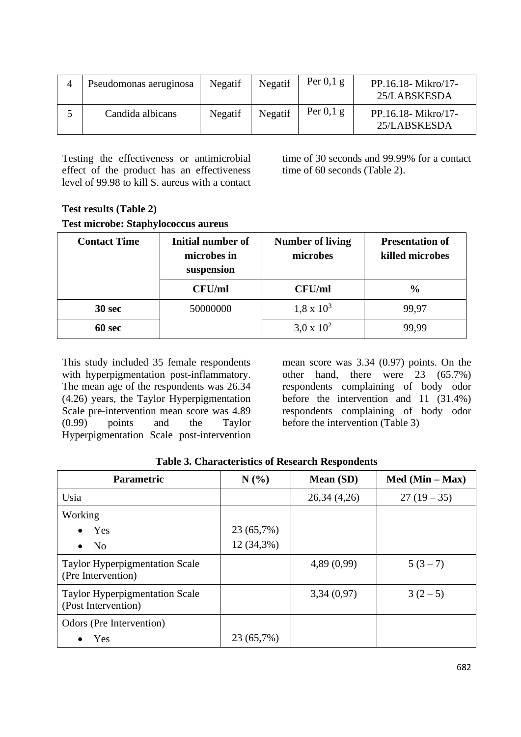| Pseudomonas aeruginosa | Negatif | Negatif | Per $0,1$ g | PP.16.18-Mikro/17-<br>25/LABSKESDA |
|------------------------|---------|---------|-------------|------------------------------------|
| Candida albicans       | Negatif | Negatif | Per $0,1$ g | PP.16.18-Mikro/17-<br>25/LABSKESDA |

Testing the effectiveness or antimicrobial effect of the product has an effectiveness level of 99.98 to kill S. aureus with a contact time of 30 seconds and 99.99% for a contact time of 60 seconds (Table 2).

# **Test results (Table 2) Test microbe: Staphylococcus aureus**

| <b>Contact Time</b> | Initial number of<br>microbes in<br>suspension | <b>Number of living</b><br>microbes | <b>Presentation of</b><br>killed microbes |
|---------------------|------------------------------------------------|-------------------------------------|-------------------------------------------|
|                     | <b>CFU/ml</b>                                  | <b>CFU/ml</b>                       | $\frac{0}{0}$                             |
| 30 <sub>sec</sub>   | 50000000                                       | $1,8 \times 10^3$                   | 99,97                                     |
| 60 sec              |                                                | $3.0 \times 10^{2}$                 | 99.99                                     |

This study included 35 female respondents with hyperpigmentation post-inflammatory. The mean age of the respondents was 26.34 (4.26) years, the Taylor Hyperpigmentation Scale pre-intervention mean score was 4.89 (0.99) points and the Taylor Hyperpigmentation Scale post-intervention

mean score was 3.34 (0.97) points. On the other hand, there were 23 (65.7%) respondents complaining of body odor before the intervention and 11 (31.4%) respondents complaining of body odor before the intervention (Table 3)

| <b>Parametric</b>                                            | N(%          | <b>Mean</b> (SD) | $Med (Min - Max)$ |
|--------------------------------------------------------------|--------------|------------------|-------------------|
| Usia                                                         |              | 26,34(4,26)      | $27(19-35)$       |
| Working                                                      |              |                  |                   |
| Yes                                                          | 23 (65,7%)   |                  |                   |
| N <sub>0</sub><br>$\bullet$                                  | $12(34,3\%)$ |                  |                   |
| <b>Taylor Hyperpigmentation Scale</b><br>(Pre Intervention)  |              | 4,89(0,99)       | $5(3-7)$          |
| <b>Taylor Hyperpigmentation Scale</b><br>(Post Intervention) |              | 3,34(0,97)       | $3(2-5)$          |
| Odors (Pre Intervention)                                     |              |                  |                   |
| Yes                                                          | 23 (65,7%)   |                  |                   |

**Table 3. Characteristics of Research Respondents**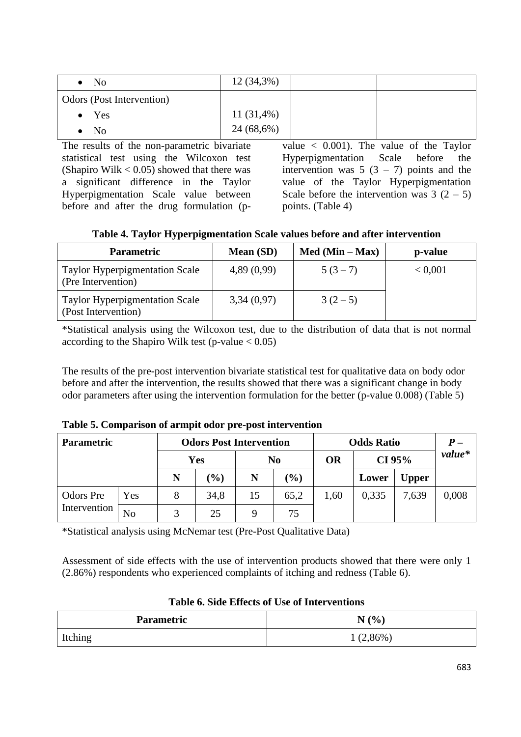| N <sub>0</sub><br>$\bullet$ | $12(34,3\%)$ |  |
|-----------------------------|--------------|--|
| Odors (Post Intervention)   |              |  |
| $\bullet$ Yes               | $11(31,4\%)$ |  |
| No                          | 24 (68,6%)   |  |

The results of the non-parametric bivariate statistical test using the Wilcoxon test (Shapiro Wilk  $< 0.05$ ) showed that there was a significant difference in the Taylor Hyperpigmentation Scale value between before and after the drug formulation (p-

value  $\langle 0.001 \rangle$ . The value of the Taylor Hyperpigmentation Scale before the intervention was  $5(3 - 7)$  points and the value of the Taylor Hyperpigmentation Scale before the intervention was  $3(2 - 5)$ points. (Table 4)

**Table 4. Taylor Hyperpigmentation Scale values before and after intervention**

| <b>Parametric</b>                                            | <b>Mean</b> (SD) | $Med (Min - Max)$ | p-value |
|--------------------------------------------------------------|------------------|-------------------|---------|
| <b>Taylor Hyperpigmentation Scale</b><br>(Pre Intervention)  | 4,89(0,99)       | $5(3-7)$          | < 0.001 |
| <b>Taylor Hyperpigmentation Scale</b><br>(Post Intervention) | 3,34(0,97)       | $3(2-5)$          |         |

\*Statistical analysis using the Wilcoxon test, due to the distribution of data that is not normal according to the Shapiro Wilk test (p-value  $< 0.05$ )

The results of the pre-post intervention bivariate statistical test for qualitative data on body odor before and after the intervention, the results showed that there was a significant change in body odor parameters after using the intervention formulation for the better (p-value 0.008) (Table 5)

|  |  | Table 5. Comparison of armpit odor pre-post intervention |
|--|--|----------------------------------------------------------|
|  |  |                                                          |

| <b>Parametric</b> |                | <b>Odors Post Intervention</b> |        |    |                | <b>Odds Ratio</b> |       |              |        |
|-------------------|----------------|--------------------------------|--------|----|----------------|-------------------|-------|--------------|--------|
|                   |                |                                | Yes    |    | N <sub>0</sub> | <b>OR</b>         |       | CI 95%       | value* |
|                   |                | N                              | $(\%)$ | N  | $(\%)$         |                   | Lower | <b>Upper</b> |        |
| Odors Pre         | Yes            |                                | 34,8   | 15 | 65,2           | 1,60              | 0,335 | 7,639        | 0,008  |
| Intervention      | N <sub>o</sub> | 3                              | 25     | Q  | 75             |                   |       |              |        |

\*Statistical analysis using McNemar test (Pre-Post Qualitative Data)

Assessment of side effects with the use of intervention products showed that there were only 1 (2.86%) respondents who experienced complaints of itching and redness (Table 6).

| <b>Parametric</b> | N(%)       |
|-------------------|------------|
| Itching           | $(2,86\%)$ |

### **Table 6. Side Effects of Use of Interventions**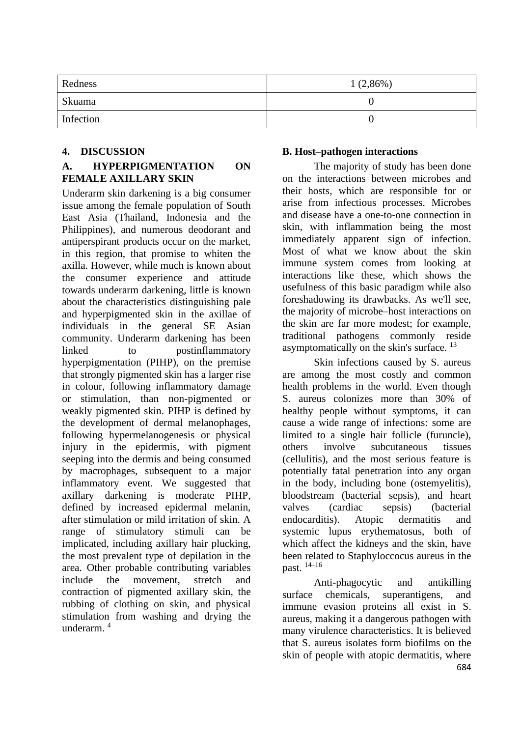| Redness   | $1(2,86\%)$ |
|-----------|-------------|
| Skuama    |             |
| Infection |             |

### **4. DISCUSSION**

### **A. HYPERPIGMENTATION ON FEMALE AXILLARY SKIN**

Underarm skin darkening is a big consumer issue among the female population of South East Asia (Thailand, Indonesia and the Philippines), and numerous deodorant and antiperspirant products occur on the market, in this region, that promise to whiten the axilla. However, while much is known about the consumer experience and attitude towards underarm darkening, little is known about the characteristics distinguishing pale and hyperpigmented skin in the axillae of individuals in the general SE Asian community. Underarm darkening has been linked to postinflammatory hyperpigmentation (PIHP), on the premise that strongly pigmented skin has a larger rise in colour, following inflammatory damage or stimulation, than non-pigmented or weakly pigmented skin. PIHP is defined by the development of dermal melanophages, following hypermelanogenesis or physical injury in the epidermis, with pigment seeping into the dermis and being consumed by macrophages, subsequent to a major inflammatory event. We suggested that axillary darkening is moderate PIHP, defined by increased epidermal melanin, after stimulation or mild irritation of skin. A range of stimulatory stimuli can be implicated, including axillary hair plucking, the most prevalent type of depilation in the area. Other probable contributing variables include the movement, stretch and contraction of pigmented axillary skin, the rubbing of clothing on skin, and physical stimulation from washing and drying the underarm. <sup>4</sup>

#### **B. Host–pathogen interactions**

The majority of study has been done on the interactions between microbes and their hosts, which are responsible for or arise from infectious processes. Microbes and disease have a one-to-one connection in skin, with inflammation being the most immediately apparent sign of infection. Most of what we know about the skin immune system comes from looking at interactions like these, which shows the usefulness of this basic paradigm while also foreshadowing its drawbacks. As we'll see, the majority of microbe–host interactions on the skin are far more modest; for example, traditional pathogens commonly reside asymptomatically on the skin's surface. <sup>13</sup>

Skin infections caused by S. aureus are among the most costly and common health problems in the world. Even though S. aureus colonizes more than 30% of healthy people without symptoms, it can cause a wide range of infections: some are limited to a single hair follicle (furuncle), others involve subcutaneous tissues (cellulitis), and the most serious feature is potentially fatal penetration into any organ in the body, including bone (ostemyelitis), bloodstream (bacterial sepsis), and heart valves (cardiac sepsis) (bacterial endocarditis). Atopic dermatitis and systemic lupus erythematosus, both of which affect the kidneys and the skin, have been related to Staphyloccocus aureus in the past. 14–16

Anti-phagocytic and antikilling surface chemicals, superantigens, and immune evasion proteins all exist in S. aureus, making it a dangerous pathogen with many virulence characteristics. It is believed that S. aureus isolates form biofilms on the skin of people with atopic dermatitis, where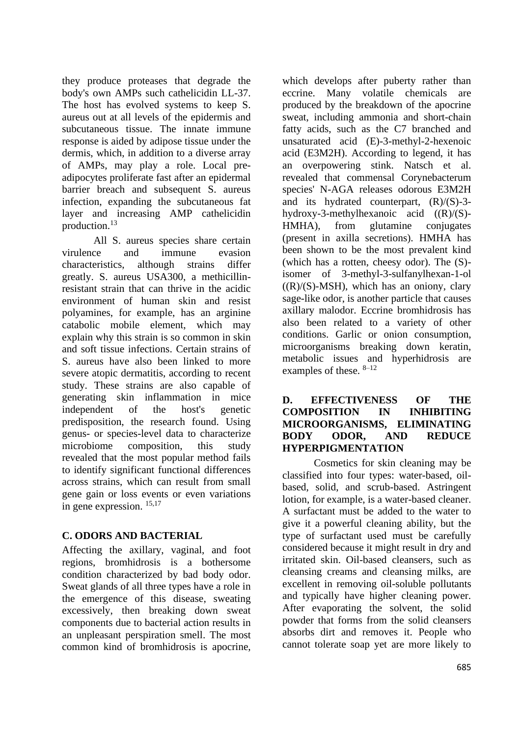they produce proteases that degrade the body's own AMPs such cathelicidin LL-37. The host has evolved systems to keep S. aureus out at all levels of the epidermis and subcutaneous tissue. The innate immune response is aided by adipose tissue under the dermis, which, in addition to a diverse array of AMPs, may play a role. Local preadipocytes proliferate fast after an epidermal barrier breach and subsequent S. aureus infection, expanding the subcutaneous fat layer and increasing AMP cathelicidin production. 13

All S. aureus species share certain virulence and immune evasion characteristics, although strains differ greatly. S. aureus USA300, a methicillinresistant strain that can thrive in the acidic environment of human skin and resist polyamines, for example, has an arginine catabolic mobile element, which may explain why this strain is so common in skin and soft tissue infections. Certain strains of S. aureus have also been linked to more severe atopic dermatitis, according to recent study. These strains are also capable of generating skin inflammation in mice independent of the host's genetic predisposition, the research found. Using genus- or species-level data to characterize microbiome composition, this study revealed that the most popular method fails to identify significant functional differences across strains, which can result from small gene gain or loss events or even variations in gene expression. 15,17

## **C. ODORS AND BACTERIAL**

Affecting the axillary, vaginal, and foot regions, bromhidrosis is a bothersome condition characterized by bad body odor. Sweat glands of all three types have a role in the emergence of this disease, sweating excessively, then breaking down sweat components due to bacterial action results in an unpleasant perspiration smell. The most common kind of bromhidrosis is apocrine,

which develops after puberty rather than eccrine. Many volatile chemicals are produced by the breakdown of the apocrine sweat, including ammonia and short-chain fatty acids, such as the C7 branched and unsaturated acid (E)-3-methyl-2-hexenoic acid (E3M2H). According to legend, it has an overpowering stink. Natsch et al. revealed that commensal Corynebacterum species' N-AGA releases odorous E3M2H and its hydrated counterpart,  $(R)/(S)$ -3hydroxy-3-methylhexanoic acid ((R)/(S)- HMHA), from glutamine conjugates (present in axilla secretions). HMHA has been shown to be the most prevalent kind (which has a rotten, cheesy odor). The (S) isomer of 3-methyl-3-sulfanylhexan-1-ol  $((R)/(S)$ -MSH), which has an oniony, clary sage-like odor, is another particle that causes axillary malodor. Eccrine bromhidrosis has also been related to a variety of other conditions. Garlic or onion consumption, microorganisms breaking down keratin, metabolic issues and hyperhidrosis are examples of these. 8–12

#### **D. EFFECTIVENESS OF THE COMPOSITION IN INHIBITING MICROORGANISMS, ELIMINATING BODY ODOR, AND REDUCE HYPERPIGMENTATION**

Cosmetics for skin cleaning may be classified into four types: water-based, oilbased, solid, and scrub-based. Astringent lotion, for example, is a water-based cleaner. A surfactant must be added to the water to give it a powerful cleaning ability, but the type of surfactant used must be carefully considered because it might result in dry and irritated skin. Oil-based cleansers, such as cleansing creams and cleansing milks, are excellent in removing oil-soluble pollutants and typically have higher cleaning power. After evaporating the solvent, the solid powder that forms from the solid cleansers absorbs dirt and removes it. People who cannot tolerate soap yet are more likely to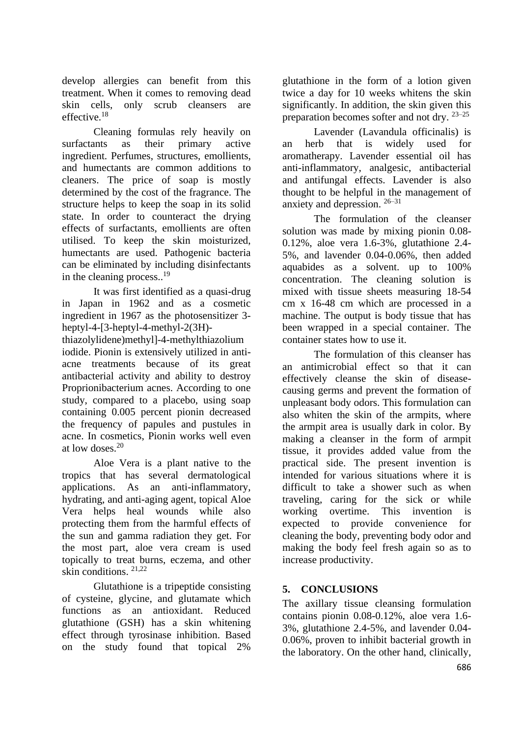develop allergies can benefit from this treatment. When it comes to removing dead skin cells, only scrub cleansers are effective. 18

Cleaning formulas rely heavily on<br>ants as their primary active surfactants as their primary active ingredient. Perfumes, structures, emollients, and humectants are common additions to cleaners. The price of soap is mostly determined by the cost of the fragrance. The structure helps to keep the soap in its solid state. In order to counteract the drying effects of surfactants, emollients are often utilised. To keep the skin moisturized, humectants are used. Pathogenic bacteria can be eliminated by including disinfectants in the cleaning process..<sup>19</sup>

It was first identified as a quasi-drug in Japan in 1962 and as a cosmetic ingredient in 1967 as the photosensitizer 3 heptyl-4-[3-heptyl-4-methyl-2(3H)-

thiazolylidene)methyl]-4-methylthiazolium iodide. Pionin is extensively utilized in antiacne treatments because of its great antibacterial activity and ability to destroy Proprionibacterium acnes. According to one study, compared to a placebo, using soap containing 0.005 percent pionin decreased the frequency of papules and pustules in acne. In cosmetics, Pionin works well even at low doses. 20

Aloe Vera is a plant native to the tropics that has several dermatological applications. As an anti-inflammatory, hydrating, and anti-aging agent, topical Aloe Vera helps heal wounds while also protecting them from the harmful effects of the sun and gamma radiation they get. For the most part, aloe vera cream is used topically to treat burns, eczema, and other skin conditions. 21,22

Glutathione is a tripeptide consisting of cysteine, glycine, and glutamate which functions as an antioxidant. Reduced glutathione (GSH) has a skin whitening effect through tyrosinase inhibition. Based on the study found that topical 2%

glutathione in the form of a lotion given twice a day for 10 weeks whitens the skin significantly. In addition, the skin given this preparation becomes softer and not dry. 23–25

Lavender (Lavandula officinalis) is an herb that is widely used for aromatherapy. Lavender essential oil has anti-inflammatory, analgesic, antibacterial and antifungal effects. Lavender is also thought to be helpful in the management of anxiety and depression. 26–31

The formulation of the cleanser solution was made by mixing pionin 0.08- 0.12%, aloe vera 1.6-3%, glutathione 2.4- 5%, and lavender 0.04-0.06%, then added aquabides as a solvent. up to 100% concentration. The cleaning solution is mixed with tissue sheets measuring 18-54 cm x 16-48 cm which are processed in a machine. The output is body tissue that has been wrapped in a special container. The container states how to use it.

The formulation of this cleanser has an antimicrobial effect so that it can effectively cleanse the skin of diseasecausing germs and prevent the formation of unpleasant body odors. This formulation can also whiten the skin of the armpits, where the armpit area is usually dark in color. By making a cleanser in the form of armpit tissue, it provides added value from the practical side. The present invention is intended for various situations where it is difficult to take a shower such as when traveling, caring for the sick or while working overtime. This invention is expected to provide convenience for cleaning the body, preventing body odor and making the body feel fresh again so as to increase productivity.

# **5. CONCLUSIONS**

The axillary tissue cleansing formulation contains pionin 0.08-0.12%, aloe vera 1.6- 3%, glutathione 2.4-5%, and lavender 0.04- 0.06%, proven to inhibit bacterial growth in the laboratory. On the other hand, clinically,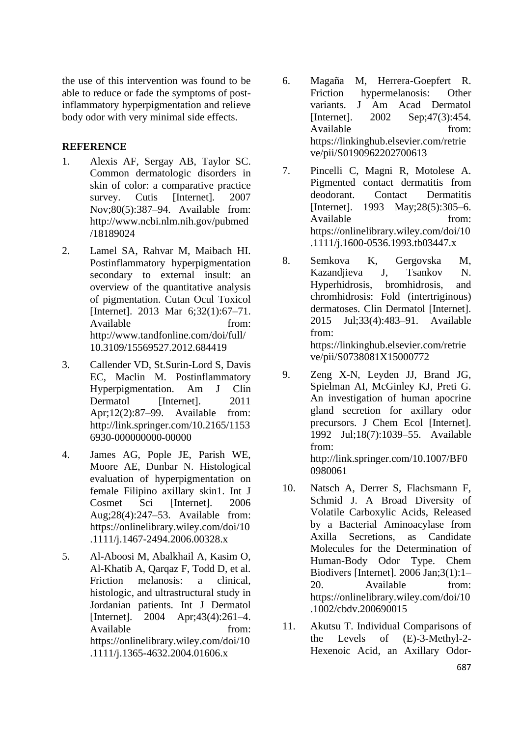the use of this intervention was found to be able to reduce or fade the symptoms of postinflammatory hyperpigmentation and relieve body odor with very minimal side effects.

### **REFERENCE**

- 1. Alexis AF, Sergay AB, Taylor SC. Common dermatologic disorders in skin of color: a comparative practice survey. Cutis [Internet]. 2007 Nov;80(5):387–94. Available from: http://www.ncbi.nlm.nih.gov/pubmed /18189024
- 2. Lamel SA, Rahvar M, Maibach HI. Postinflammatory hyperpigmentation secondary to external insult: an overview of the quantitative analysis of pigmentation. Cutan Ocul Toxicol [Internet]. 2013 Mar 6;32(1):67–71. Available from: http://www.tandfonline.com/doi/full/ 10.3109/15569527.2012.684419
- 3. Callender VD, St.Surin-Lord S, Davis EC, Maclin M. Postinflammatory Hyperpigmentation. Am J Clin Dermatol [Internet]. 2011 Apr;12(2):87–99. Available from: http://link.springer.com/10.2165/1153 6930-000000000-00000
- 4. James AG, Pople JE, Parish WE, Moore AE, Dunbar N. Histological evaluation of hyperpigmentation on female Filipino axillary skin1. Int J Cosmet Sci [Internet]. 2006 Aug;28(4):247–53. Available from: https://onlinelibrary.wiley.com/doi/10 .1111/j.1467-2494.2006.00328.x
- 5. Al-Aboosi M, Abalkhail A, Kasim O, Al-Khatib A, Qarqaz F, Todd D, et al. Friction melanosis: a clinical, histologic, and ultrastructural study in Jordanian patients. Int J Dermatol [Internet]. 2004 Apr;43(4):261–4. Available from: https://onlinelibrary.wiley.com/doi/10 .1111/j.1365-4632.2004.01606.x
- 6. Magaña M, Herrera-Goepfert R. Friction hypermelanosis: Other variants. J Am Acad Dermatol [Internet]. 2002 Sep;47(3):454. Available from: https://linkinghub.elsevier.com/retrie ve/pii/S0190962202700613
- 7. Pincelli C, Magni R, Motolese A. Pigmented contact dermatitis from deodorant. Contact Dermatitis [Internet]. 1993 May; 28(5): 305–6. Available from: https://onlinelibrary.wiley.com/doi/10 .1111/j.1600-0536.1993.tb03447.x
- 8. Semkova K, Gergovska M, Kazandjieva J, Tsankov N. Hyperhidrosis, bromhidrosis, and chromhidrosis: Fold (intertriginous) dermatoses. Clin Dermatol [Internet]. 2015 Jul;33(4):483–91. Available from: https://linkinghub.elsevier.com/retrie ve/pii/S0738081X15000772
- 9. Zeng X-N, Leyden JJ, Brand JG, Spielman AI, McGinley KJ, Preti G. An investigation of human apocrine gland secretion for axillary odor precursors. J Chem Ecol [Internet]. 1992 Jul;18(7):1039–55. Available from: http://link.springer.com/10.1007/BF0 0980061
- 10. Natsch A, Derrer S, Flachsmann F, Schmid J. A Broad Diversity of Volatile Carboxylic Acids, Released by a Bacterial Aminoacylase from Axilla Secretions, as Candidate Molecules for the Determination of Human-Body Odor Type. Chem Biodivers [Internet]. 2006 Jan;3(1):1– 20. Available from: https://onlinelibrary.wiley.com/doi/10 .1002/cbdv.200690015
- 11. Akutsu T. Individual Comparisons of the Levels of (E)-3-Methyl-2- Hexenoic Acid, an Axillary Odor-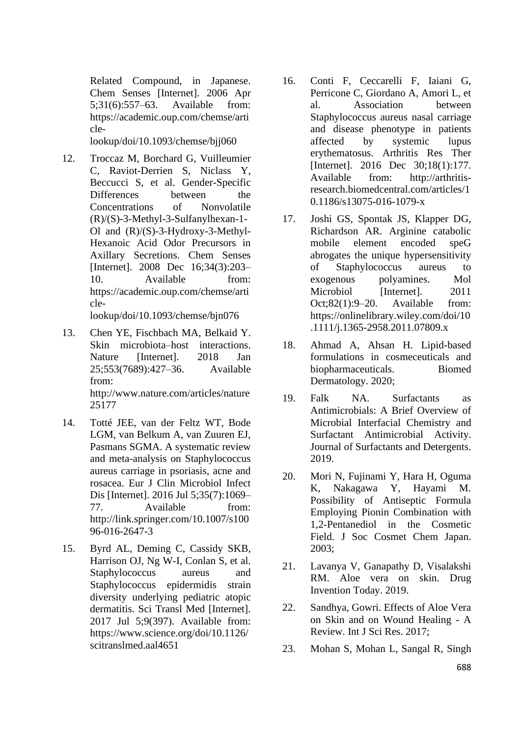Related Compound, in Japanese. Chem Senses [Internet]. 2006 Apr 5;31(6):557–63. Available from: https://academic.oup.com/chemse/arti cle-

lookup/doi/10.1093/chemse/bjj060

12. Troccaz M, Borchard G, Vuilleumier C, Raviot-Derrien S, Niclass Y, Beccucci S, et al. Gender-Specific Differences between the Concentrations of Nonvolatile (R)/(S)-3-Methyl-3-Sulfanylhexan-1- Ol and (R)/(S)-3-Hydroxy-3-Methyl-Hexanoic Acid Odor Precursors in Axillary Secretions. Chem Senses [Internet]. 2008 Dec 16;34(3):203– 10. Available from: https://academic.oup.com/chemse/arti cle-

lookup/doi/10.1093/chemse/bjn076

- 13. Chen YE, Fischbach MA, Belkaid Y. Skin microbiota–host interactions. Nature [Internet]. 2018 Jan 25;553(7689):427–36. Available from: http://www.nature.com/articles/nature 25177
- 14. Totté JEE, van der Feltz WT, Bode LGM, van Belkum A, van Zuuren EJ, Pasmans SGMA. A systematic review and meta-analysis on Staphylococcus aureus carriage in psoriasis, acne and rosacea. Eur J Clin Microbiol Infect Dis [Internet]. 2016 Jul 5;35(7):1069– 77. Available from: http://link.springer.com/10.1007/s100 96-016-2647-3
- 15. Byrd AL, Deming C, Cassidy SKB, Harrison OJ, Ng W-I, Conlan S, et al. Staphylococcus aureus and Staphylococcus epidermidis strain diversity underlying pediatric atopic dermatitis. Sci Transl Med [Internet]. 2017 Jul 5;9(397). Available from: https://www.science.org/doi/10.1126/ scitranslmed.aal4651
- 16. Conti F, Ceccarelli F, Iaiani G, Perricone C, Giordano A, Amori L, et al. Association between Staphylococcus aureus nasal carriage and disease phenotype in patients affected by systemic lupus erythematosus. Arthritis Res Ther [Internet]. 2016 Dec 30;18(1):177. Available from: http://arthritisresearch.biomedcentral.com/articles/1 0.1186/s13075-016-1079-x
- 17. Joshi GS, Spontak JS, Klapper DG, Richardson AR. Arginine catabolic mobile element encoded speG abrogates the unique hypersensitivity of Staphylococcus aureus to exogenous polyamines. Mol Microbiol [Internet]. 2011 Oct;82(1):9–20. Available from: https://onlinelibrary.wiley.com/doi/10 .1111/j.1365-2958.2011.07809.x
- 18. Ahmad A, Ahsan H. Lipid-based formulations in cosmeceuticals and biopharmaceuticals. Biomed Dermatology. 2020;
- 19. Falk NA. Surfactants as Antimicrobials: A Brief Overview of Microbial Interfacial Chemistry and Surfactant Antimicrobial Activity. Journal of Surfactants and Detergents. 2019.
- 20. Mori N, Fujinami Y, Hara H, Oguma K, Nakagawa Y, Hayami M. Possibility of Antiseptic Formula Employing Pionin Combination with 1,2-Pentanediol in the Cosmetic Field. J Soc Cosmet Chem Japan. 2003;
- 21. Lavanya V, Ganapathy D, Visalakshi RM. Aloe vera on skin. Drug Invention Today. 2019.
- 22. Sandhya, Gowri. Effects of Aloe Vera on Skin and on Wound Healing - A Review. Int J Sci Res. 2017;
- 23. Mohan S, Mohan L, Sangal R, Singh